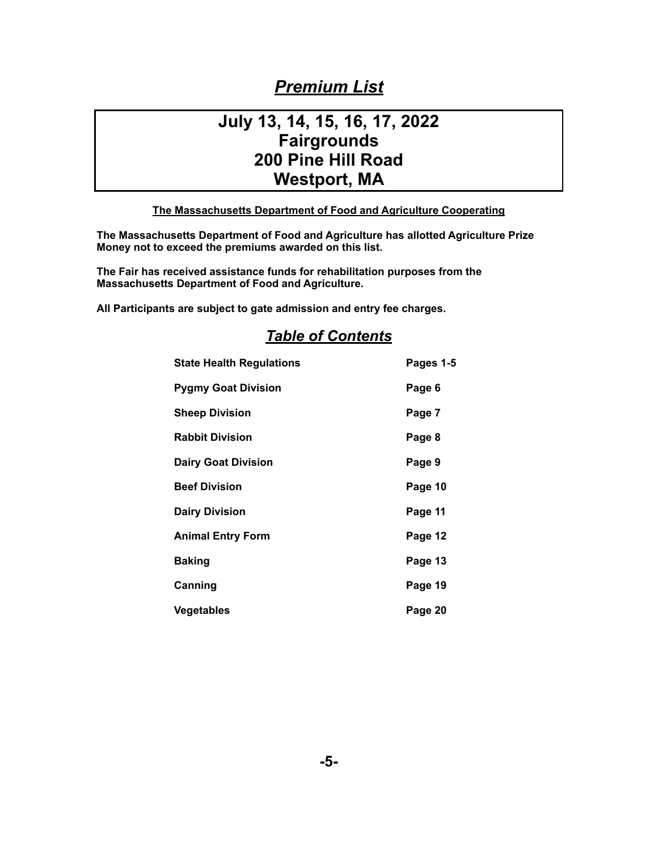# *Premium List*

# **July 13, 14, 15, 16, 17, 2022 Fairgrounds 200 Pine Hill Road Westport, MA**

## **The Massachusetts Department of Food and Agriculture Cooperating**

**The Massachusetts Department of Food and Agriculture has allotted Agriculture Prize Money not to exceed the premiums awarded on this list.** 

**The Fair has received assistance funds for rehabilitation purposes from the Massachusetts Department of Food and Agriculture.** 

**All Participants are subject to gate admission and entry fee charges.** 

| <b>State Health Regulations</b> | Pages 1-5 |
|---------------------------------|-----------|
| <b>Pygmy Goat Division</b>      | Page 6    |
| <b>Sheep Division</b>           | Page 7    |
| <b>Rabbit Division</b>          | Page 8    |
| <b>Dairy Goat Division</b>      | Page 9    |
| <b>Beef Division</b>            | Page 10   |
| <b>Dairy Division</b>           | Page 11   |
| <b>Animal Entry Form</b>        | Page 12   |
| <b>Baking</b>                   | Page 13   |
| Canning                         | Page 19   |
| <b>Vegetables</b>               | Page 20   |

## *Table of Contents*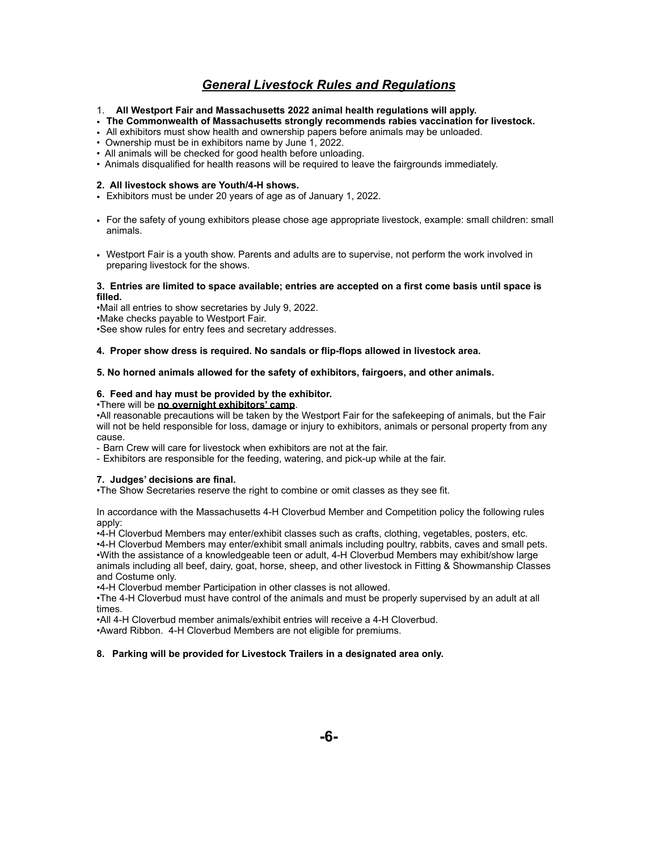## *General Livestock Rules and Regulations*

- 1. **All Westport Fair and Massachusetts 2022 animal health regulations will apply.**
- **The Commonwealth of Massachusetts strongly recommends rabies vaccination for livestock.**
- All exhibitors must show health and ownership papers before animals may be unloaded.
- Ownership must be in exhibitors name by June 1, 2022.
- All animals will be checked for good health before unloading.
- Animals disqualified for health reasons will be required to leave the fairgrounds immediately.

#### **2. All livestock shows are Youth/4-H shows.**

- Exhibitors must be under 20 years of age as of January 1, 2022.
- For the safety of young exhibitors please chose age appropriate livestock, example: small children: small animals.
- Westport Fair is a youth show. Parents and adults are to supervise, not perform the work involved in preparing livestock for the shows.

#### **3. Entries are limited to space available; entries are accepted on a first come basis until space is filled.**

•Mail all entries to show secretaries by July 9, 2022. •Make checks payable to Westport Fair. •See show rules for entry fees and secretary addresses.

#### **4. Proper show dress is required. No sandals or flip-flops allowed in livestock area.**

#### **5. No horned animals allowed for the safety of exhibitors, fairgoers, and other animals.**

#### **6. Feed and hay must be provided by the exhibitor.**

#### •There will be **no overnight exhibitors' camp**.

•All reasonable precautions will be taken by the Westport Fair for the safekeeping of animals, but the Fair will not be held responsible for loss, damage or injury to exhibitors, animals or personal property from any cause.

- Barn Crew will care for livestock when exhibitors are not at the fair.

- Exhibitors are responsible for the feeding, watering, and pick-up while at the fair.

#### **7. Judges' decisions are final.**

•The Show Secretaries reserve the right to combine or omit classes as they see fit.

In accordance with the Massachusetts 4-H Cloverbud Member and Competition policy the following rules apply:

•4-H Cloverbud Members may enter/exhibit classes such as crafts, clothing, vegetables, posters, etc.

•4-H Cloverbud Members may enter/exhibit small animals including poultry, rabbits, caves and small pets. •With the assistance of a knowledgeable teen or adult, 4-H Cloverbud Members may exhibit/show large animals including all beef, dairy, goat, horse, sheep, and other livestock in Fitting & Showmanship Classes and Costume only.

•4-H Cloverbud member Participation in other classes is not allowed.

•The 4-H Cloverbud must have control of the animals and must be properly supervised by an adult at all times.

•All 4-H Cloverbud member animals/exhibit entries will receive a 4-H Cloverbud.

•Award Ribbon. 4-H Cloverbud Members are not eligible for premiums.

#### **8. Parking will be provided for Livestock Trailers in a designated area only.**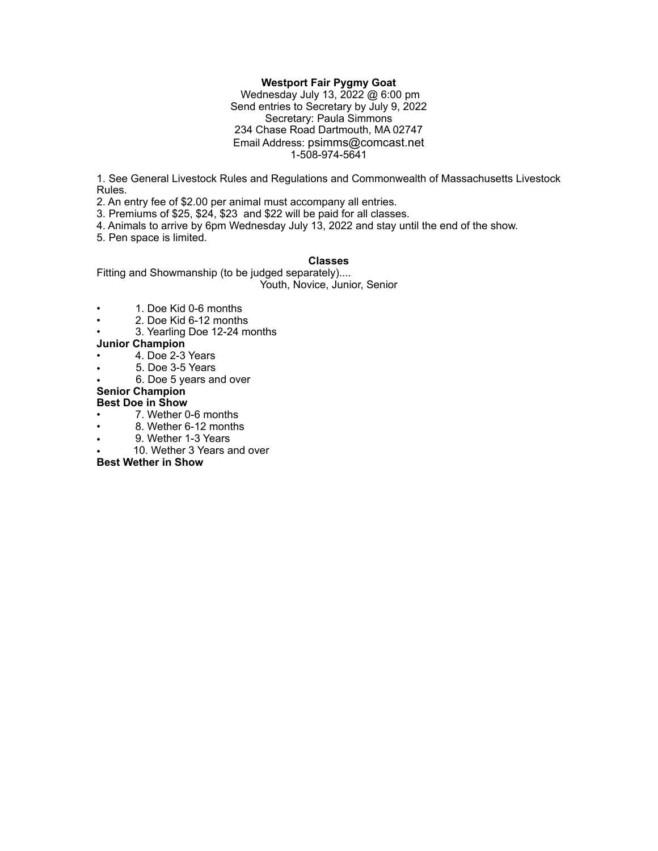### **Westport Fair Pygmy Goat**

 Wednesday July 13, 2022 @ 6:00 pm Send entries to Secretary by July 9, 2022 Secretary: Paula Simmons 234 Chase Road Dartmouth, MA 02747 Email Address: psimms@comcast.net 1-508-974-5641

1. See General Livestock Rules and Regulations and Commonwealth of Massachusetts Livestock Rules.

2. An entry fee of \$2.00 per animal must accompany all entries.

3. Premiums of \$25, \$24, \$23 and \$22 will be paid for all classes.

4. Animals to arrive by 6pm Wednesday July 13, 2022 and stay until the end of the show.

5. Pen space is limited.

#### **Classes**

Fitting and Showmanship (to be judged separately)....

Youth, Novice, Junior, Senior

- 1. Doe Kid 0-6 months
- 2. Doe Kid 6-12 months
- 3. Yearling Doe 12-24 months

## **Junior Champion**

- 4. Doe 2-3 Years
- 5. Doe 3-5 Years
- 6. Doe 5 years and over

## **Senior Champion**

## **Best Doe in Show**

- 7. Wether 0-6 months
- 8. Wether 6-12 months
- 9. Wether 1-3 Years
- 10. Wether 3 Years and over

**Best Wether in Show**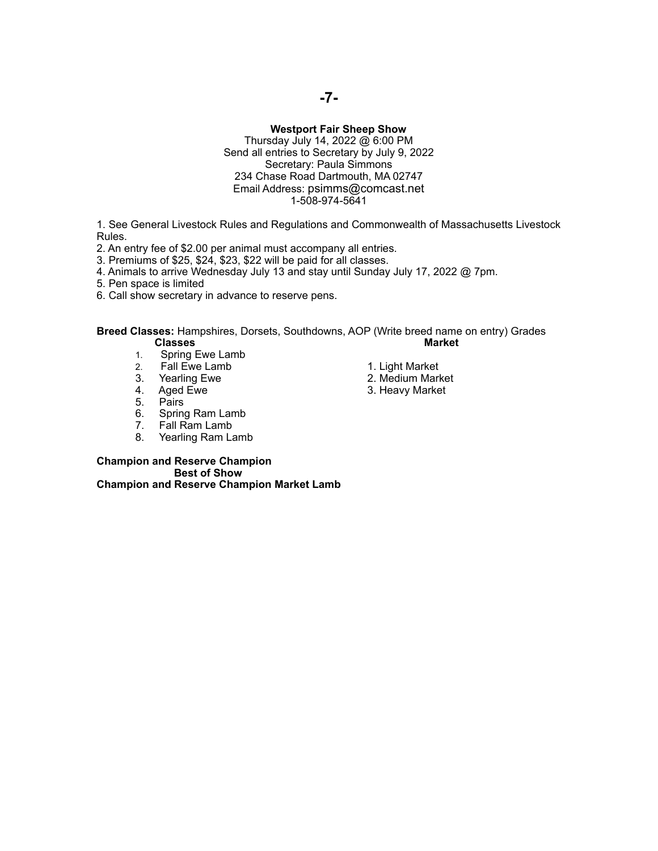#### **Westport Fair Sheep Show**

Thursday July 14, 2022 @ 6:00 PM Send all entries to Secretary by July 9, 2022 Secretary: Paula Simmons 234 Chase Road Dartmouth, MA 02747 Email Address: psimms@comcast.net 1-508-974-5641

1. See General Livestock Rules and Regulations and Commonwealth of Massachusetts Livestock Rules.

2. An entry fee of \$2.00 per animal must accompany all entries.

3. Premiums of \$25, \$24, \$23, \$22 will be paid for all classes.

4. Animals to arrive Wednesday July 13 and stay until Sunday July 17, 2022 @ 7pm.

5. Pen space is limited

6. Call show secretary in advance to reserve pens.

**Breed Classes:** Hampshires, Dorsets, Southdowns, AOP (Write breed name on entry) Grades **Classes** 

- 1. Spring Ewe Lamb<br>2. Fall Ewe Lamb
- 2. Fall Ewe Lamb 1. Light Market<br>
3. Yearling Ewe 1. 2. Medium Mark
- 
- 3. Yearling Ewe 2. Medium Market 2. Medium Market 4. Aged Ewe 2. Medium Market
- 
- 5. Pairs<br>6. Spring 6. Spring Ram Lamb<br>7. Fall Ram Lamb
- 
- 7. Fall Ram Lamb<br>8. Yearling Ram La Yearling Ram Lamb
- 
- 4. Aged Ewe 3. Heavy Market 5. Pairs

**Champion and Reserve Champion Best of Show Champion and Reserve Champion Market Lamb**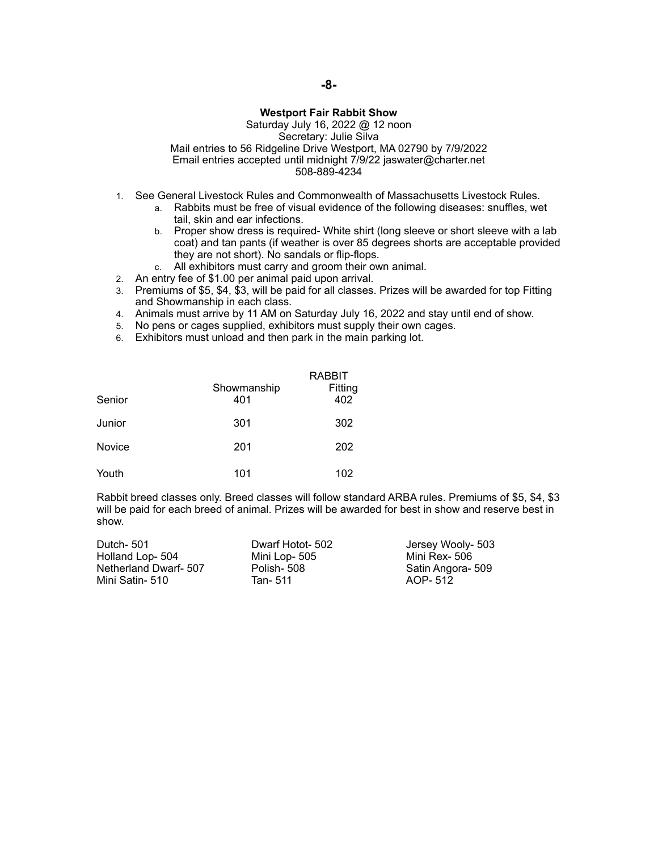## **Westport Fair Rabbit Show**

Saturday July 16, 2022 @ 12 noon Secretary: Julie Silva Mail entries to 56 Ridgeline Drive Westport, MA 02790 by 7/9/2022 Email entries accepted until midnight 7/9/22 jaswater@charter.net 508-889-4234

- 1. See General Livestock Rules and Commonwealth of Massachusetts Livestock Rules.
	- a. Rabbits must be free of visual evidence of the following diseases: snuffles, wet tail, skin and ear infections.
	- b. Proper show dress is required- White shirt (long sleeve or short sleeve with a lab coat) and tan pants (if weather is over 85 degrees shorts are acceptable provided they are not short). No sandals or flip-flops.
	- c. All exhibitors must carry and groom their own animal.
- 2. An entry fee of \$1.00 per animal paid upon arrival.
- 3. Premiums of \$5, \$4, \$3, will be paid for all classes. Prizes will be awarded for top Fitting and Showmanship in each class.
- 4. Animals must arrive by 11 AM on Saturday July 16, 2022 and stay until end of show.
- 5. No pens or cages supplied, exhibitors must supply their own cages.
- 6. Exhibitors must unload and then park in the main parking lot.

| Senior | Showmanship<br>401 | <b>RABBIT</b><br>Fitting<br>402 |
|--------|--------------------|---------------------------------|
| Junior | 301                | 302                             |
| Novice | 201                | 202                             |
| Youth  | 101                | 102                             |

Rabbit breed classes only. Breed classes will follow standard ARBA rules. Premiums of \$5, \$4, \$3 will be paid for each breed of animal. Prizes will be awarded for best in show and reserve best in show.

| Dutch-501             | Dwarf Hotot- 502 | Jersey Wooly- 503 |
|-----------------------|------------------|-------------------|
| Holland Lop-504       | Mini Lop- 505    | Mini Rex- 506     |
| Netherland Dwarf- 507 | Polish- 508      | Satin Angora- 509 |
| Mini Satin- 510       | Tan- 511         | AOP-512           |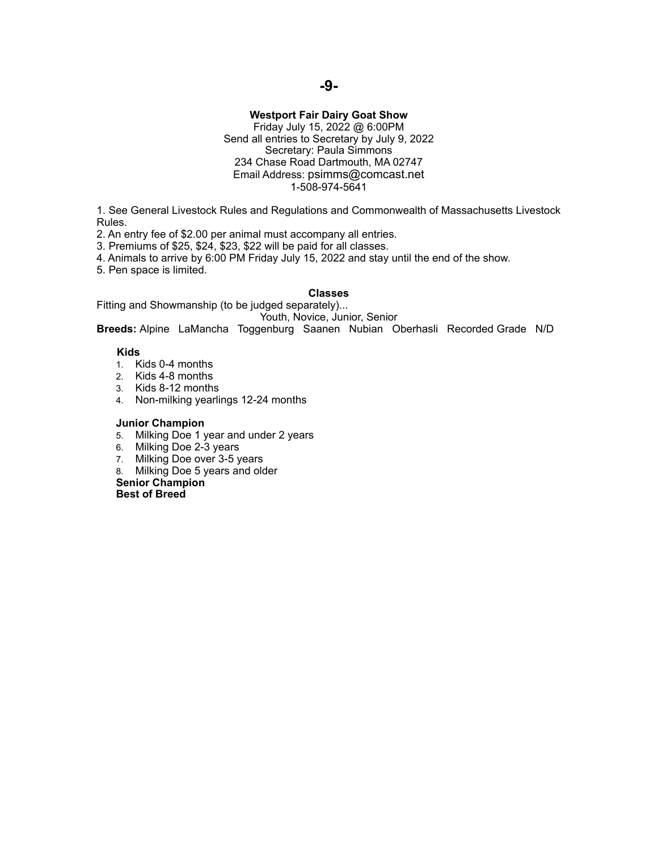## **Westport Fair Dairy Goat Show**

Friday July 15, 2022 @ 6:00PM Send all entries to Secretary by July 9, 2022 Secretary: Paula Simmons 234 Chase Road Dartmouth, MA 02747 Email Address: psimms@comcast.net 1-508-974-5641

1. See General Livestock Rules and Regulations and Commonwealth of Massachusetts Livestock Rules.

2. An entry fee of \$2.00 per animal must accompany all entries.

3. Premiums of \$25, \$24, \$23, \$22 will be paid for all classes.

4. Animals to arrive by 6:00 PM Friday July 15, 2022 and stay until the end of the show.

5. Pen space is limited.

#### **Classes**

Fitting and Showmanship (to be judged separately)... Youth, Novice, Junior, Senior

**Breeds:** Alpine LaMancha Toggenburg Saanen Nubian Oberhasli Recorded Grade N/D

### **Kids**

- 1. Kids 0-4 months
- 2. Kids 4-8 months
- 3. Kids 8-12 months
- 4. Non-milking yearlings 12-24 months

#### **Junior Champion**

- 5. Milking Doe 1 year and under 2 years
- 6. Milking Doe 2-3 years
- 7. Milking Doe over 3-5 years
- 8. Milking Doe 5 years and older

**Senior Champion** 

**Best of Breed**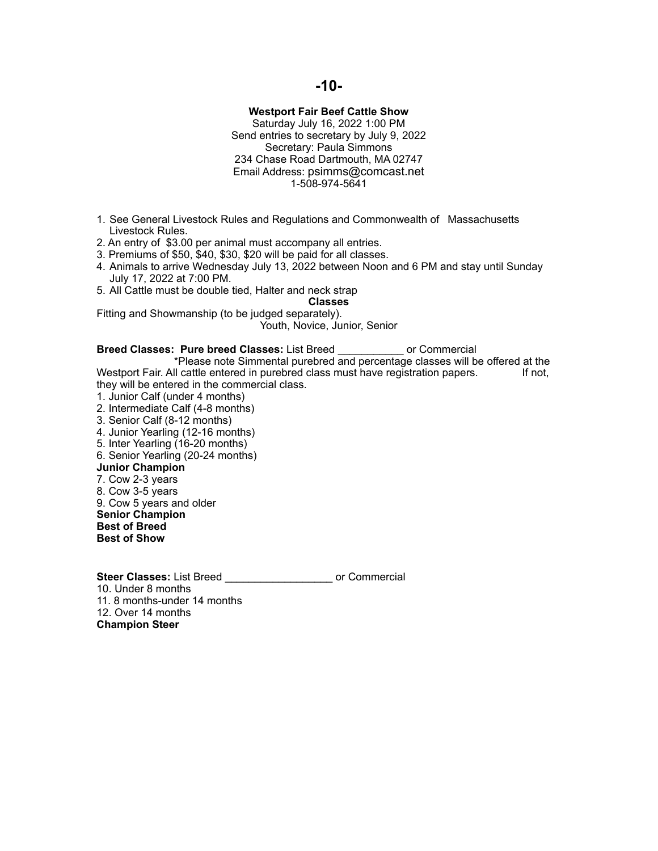## **Westport Fair Beef Cattle Show**

Saturday July 16, 2022 1:00 PM Send entries to secretary by July 9, 2022 Secretary: Paula Simmons 234 Chase Road Dartmouth, MA 02747 Email Address: psimms@comcast.net 1-508-974-5641

- 1. See General Livestock Rules and Regulations and Commonwealth of Massachusetts Livestock Rules.
- 2. An entry of \$3.00 per animal must accompany all entries.
- 3. Premiums of \$50, \$40, \$30, \$20 will be paid for all classes.
- 4. Animals to arrive Wednesday July 13, 2022 between Noon and 6 PM and stay until Sunday July 17, 2022 at 7:00 PM.
- 5. All Cattle must be double tied, Halter and neck strap

**Classes** 

Fitting and Showmanship (to be judged separately). Youth, Novice, Junior, Senior

**Breed Classes: Pure breed Classes:** List Breed \_\_\_\_\_\_\_\_\_\_\_ or Commercial \*Please note Simmental purebred and percentage classes will be offered at the li cattle entered in purebred class must have registration papers. If not, Westport Fair. All cattle entered in purebred class must have registration papers. they will be entered in the commercial class. 1. Junior Calf (under 4 months) 2. Intermediate Calf (4-8 months)

- 3. Senior Calf (8-12 months)
- 4. Junior Yearling (12-16 months)
- 5. Inter Yearling (16-20 months)
- 6. Senior Yearling (20-24 months)

### **Junior Champion**

- 7. Cow 2-3 years
- 8. Cow 3-5 years
- 9. Cow 5 years and older
- **Senior Champion**
- **Best of Breed**

**Best of Show** 

**Steer Classes:** List Breed **Commercial** 10. Under 8 months 11. 8 months-under 14 months 12. Over 14 months **Champion Steer**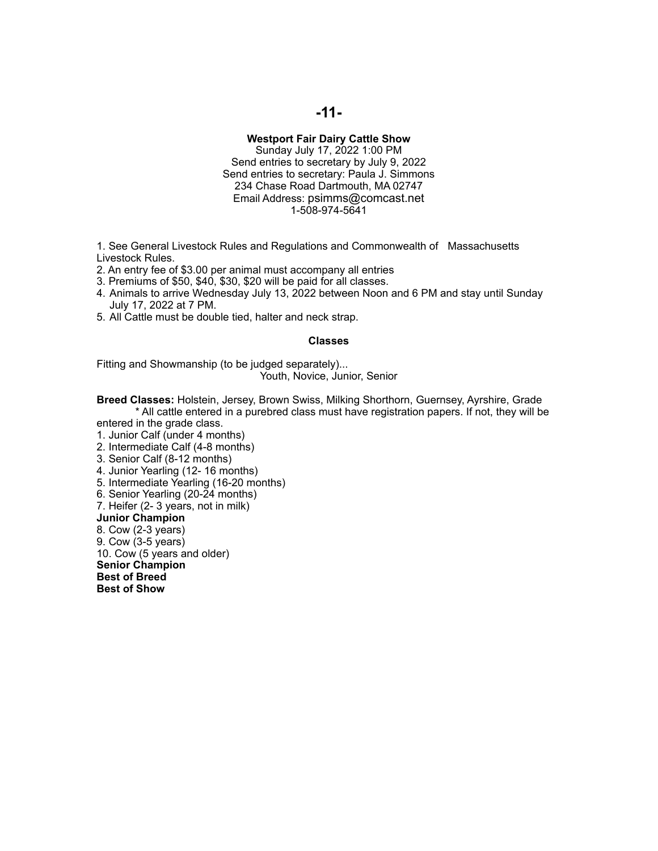### **Westport Fair Dairy Cattle Show**

Sunday July 17, 2022 1:00 PM Send entries to secretary by July 9, 2022 Send entries to secretary: Paula J. Simmons 234 Chase Road Dartmouth, MA 02747 Email Address: psimms@comcast.net 1-508-974-5641

1. See General Livestock Rules and Regulations and Commonwealth of Massachusetts Livestock Rules.

- 2. An entry fee of \$3.00 per animal must accompany all entries
- 3. Premiums of \$50, \$40, \$30, \$20 will be paid for all classes.
- 4. Animals to arrive Wednesday July 13, 2022 between Noon and 6 PM and stay until Sunday July 17, 2022 at 7 PM.
- 5. All Cattle must be double tied, halter and neck strap.

#### **Classes**

Fitting and Showmanship (to be judged separately)... Youth, Novice, Junior, Senior

**Breed Classes:** Holstein, Jersey, Brown Swiss, Milking Shorthorn, Guernsey, Ayrshire, Grade \* All cattle entered in a purebred class must have registration papers. If not, they will be

entered in the grade class.

- 1. Junior Calf (under 4 months)
- 2. Intermediate Calf (4-8 months)
- 3. Senior Calf (8-12 months)
- 4. Junior Yearling (12- 16 months)
- 5. Intermediate Yearling (16-20 months)
- 6. Senior Yearling (20-24 months)
- 7. Heifer (2- 3 years, not in milk)

**Junior Champion** 

8. Cow (2-3 years) 9. Cow (3-5 years)

10. Cow (5 years and older) **Senior Champion Best of Breed Best of Show**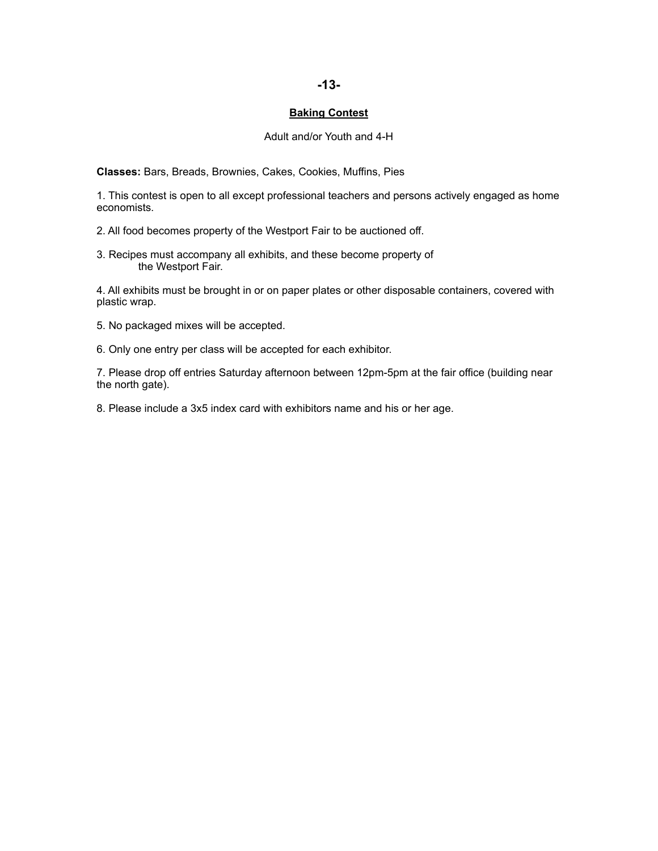## **-13-**

### **Baking Contest**

### Adult and/or Youth and 4-H

**Classes:** Bars, Breads, Brownies, Cakes, Cookies, Muffins, Pies

1. This contest is open to all except professional teachers and persons actively engaged as home economists.

2. All food becomes property of the Westport Fair to be auctioned off.

3. Recipes must accompany all exhibits, and these become property of the Westport Fair.

4. All exhibits must be brought in or on paper plates or other disposable containers, covered with plastic wrap.

- 5. No packaged mixes will be accepted.
- 6. Only one entry per class will be accepted for each exhibitor.

7. Please drop off entries Saturday afternoon between 12pm-5pm at the fair office (building near the north gate).

8. Please include a 3x5 index card with exhibitors name and his or her age.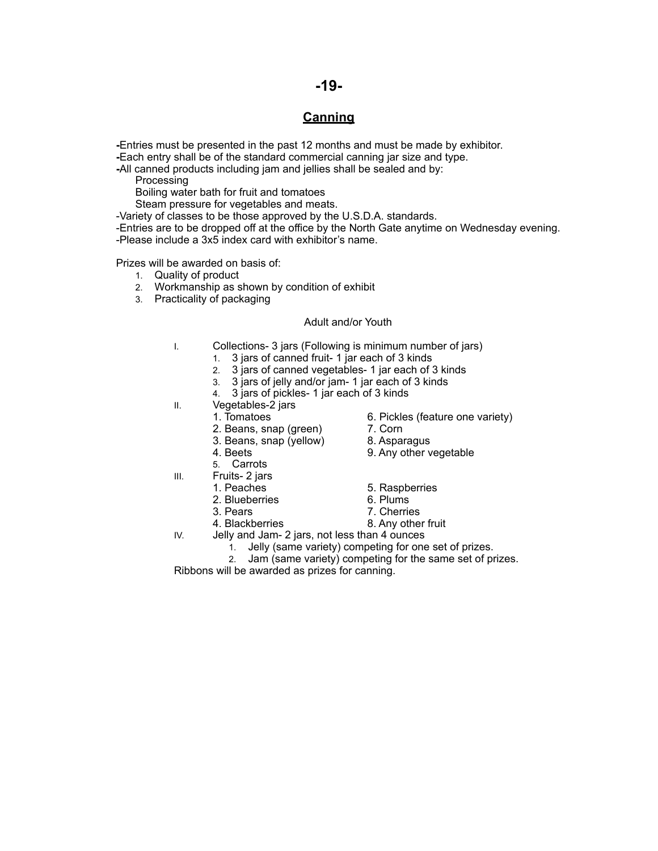## **-19-**

## **Canning**

**-**Entries must be presented in the past 12 months and must be made by exhibitor. **-**Each entry shall be of the standard commercial canning jar size and type.

**-**All canned products including jam and jellies shall be sealed and by:

**Processing** 

Boiling water bath for fruit and tomatoes

Steam pressure for vegetables and meats.

-Variety of classes to be those approved by the U.S.D.A. standards.

-Entries are to be dropped off at the office by the North Gate anytime on Wednesday evening. -Please include a 3x5 index card with exhibitor's name.

Prizes will be awarded on basis of:

- 1. Quality of product
- 2. Workmanship as shown by condition of exhibit
- 3. Practicality of packaging

## Adult and/or Youth

- I. Collections- 3 jars (Following is minimum number of jars)
	- 1. 3 jars of canned fruit- 1 jar each of 3 kinds
	- 2. 3 jars of canned vegetables- 1 jar each of 3 kinds
	- 3. 3 jars of jelly and/or jam- 1 jar each of 3 kinds
	- 4. 3 jars of pickles- 1 jar each of 3 kinds
- II. Vegetables-2 jars
	- 1. Tomatoes 6. Pickles (feature one variety)
	- 2. Beans, snap (green) 7. Corn<br>3. Beans, snap (yellow) 8. Asparagus
	- 3. Beans, snap (yellow)
- 
- 4. Beets 9. Any other vegetable
- 5. Carrots
- III. Fruits- 2 jars
	-
	- 2. Blueberries 6. Plums<br>3. Pears 6. Plums 7. Cherrie
	-
	-
- IV. Jelly and Jam- 2 jars, not less than 4 ounces
	- 1. Jelly (same variety) competing for one set of prizes.
	- 2. Jam (same variety) competing for the same set of prizes.

Ribbons will be awarded as prizes for canning.

- 1. Peaches 6. Raspberries
	-
	- 7. Cherries
- 4. Blackberries 8. Any other fruit